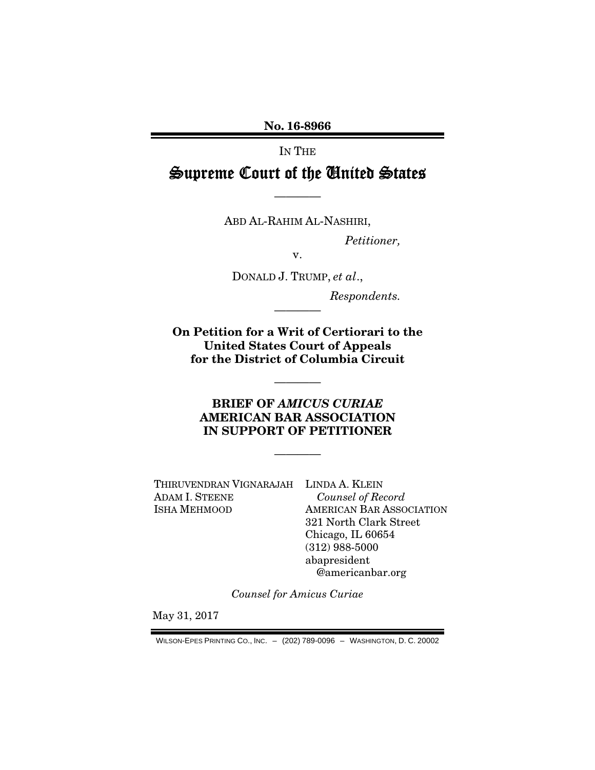No. 16-8966

IN THE

Supreme Court of the United States

————

ABD AL-RAHIM AL-NASHIRI,

*Petitioner,* 

v.

DONALD J. TRUMP, *et al*.,

————

*Respondents.* 

On Petition for a Writ of Certiorari to the United States Court of Appeals for the District of Columbia Circuit

### BRIEF OF *AMICUS CURIAE* AMERICAN BAR ASSOCIATION IN SUPPORT OF PETITIONER

————

————

THIRUVENDRAN VIGNARAJAH LINDA A. KLEIN ADAM I. STEENE ISHA MEHMOOD

*Counsel of Record*  AMERICAN BAR ASSOCIATION 321 North Clark Street Chicago, IL 60654 (312) 988-5000 abapresident @americanbar.org

*Counsel for Amicus Curiae* 

May 31, 2017

WILSON-EPES PRINTING CO., INC. – (202) 789-0096 – WASHINGTON, D. C. 20002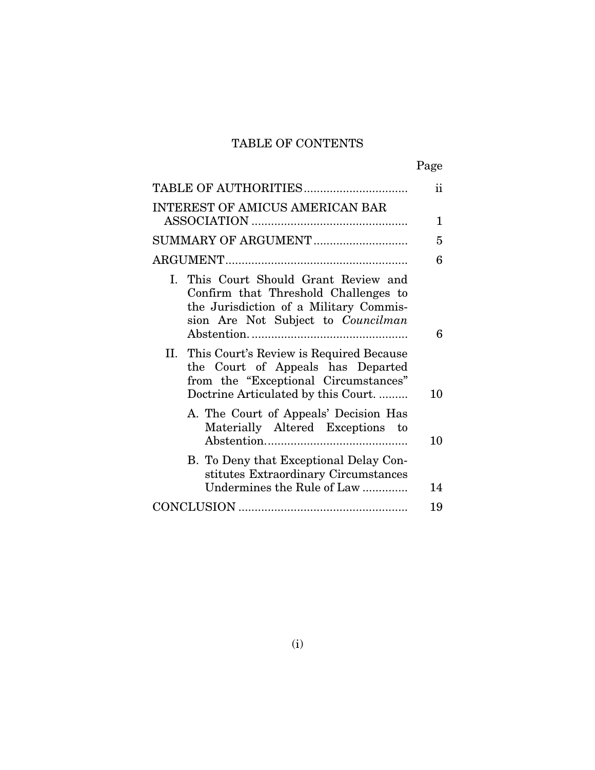## TABLE OF CONTENTS

|--|

|                                                                                                                                                                | $\rm ii$     |
|----------------------------------------------------------------------------------------------------------------------------------------------------------------|--------------|
| <b>INTEREST OF AMICUS AMERICAN BAR</b>                                                                                                                         | $\mathbf{1}$ |
|                                                                                                                                                                | 5            |
|                                                                                                                                                                | 6            |
| I. This Court Should Grant Review and<br>Confirm that Threshold Challenges to<br>the Jurisdiction of a Military Commis-<br>sion Are Not Subject to Councilman  | 6            |
| II. This Court's Review is Required Because<br>the Court of Appeals has Departed<br>from the "Exceptional Circumstances"<br>Doctrine Articulated by this Court | 10           |
| A. The Court of Appeals' Decision Has<br>Materially Altered Exceptions to                                                                                      | 10           |
| B. To Deny that Exceptional Delay Con-<br>stitutes Extraordinary Circumstances<br>Undermines the Rule of Law                                                   | 14           |
|                                                                                                                                                                | 19           |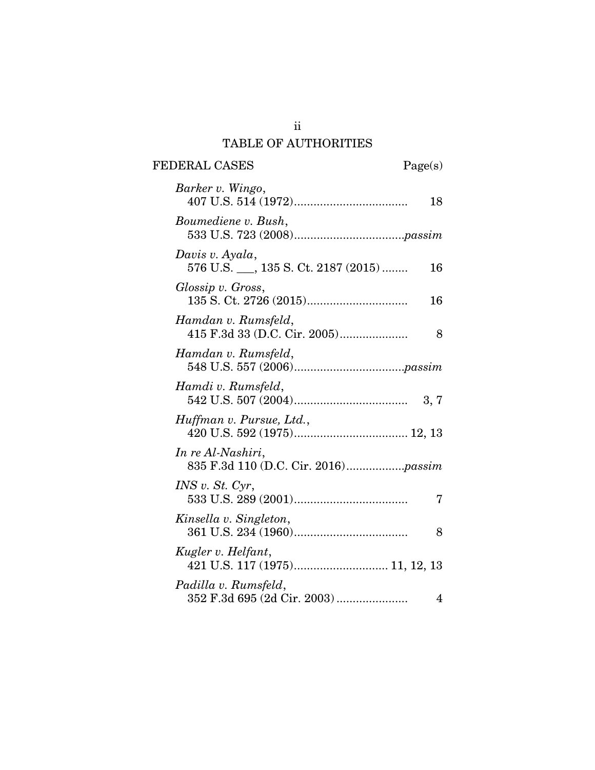## TABLE OF AUTHORITIES

FEDERAL CASES Page(s)

| Barker v. Wingo,<br>18                                       |  |
|--------------------------------------------------------------|--|
| Boumediene v. Bush,                                          |  |
| Davis v. Ayala,<br>576 U.S. __, 135 S. Ct. 2187 (2015)<br>16 |  |
| Glossip v. Gross,<br>16                                      |  |
| Hamdan v. Rumsfeld,<br>8                                     |  |
| Hamdan v. Rumsfeld,                                          |  |
| Hamdi v. Rumsfeld,                                           |  |
| Huffman v. Pursue, Ltd.,                                     |  |
| In re Al-Nashiri,                                            |  |
| INS v. St. Cyr,<br>7                                         |  |
| Kinsella v. Singleton,<br>8                                  |  |
| Kugler v. Helfant,                                           |  |
| Padilla v. Rumsfeld,<br>352 F.3d 695 (2d Cir. 2003)<br>4     |  |

ii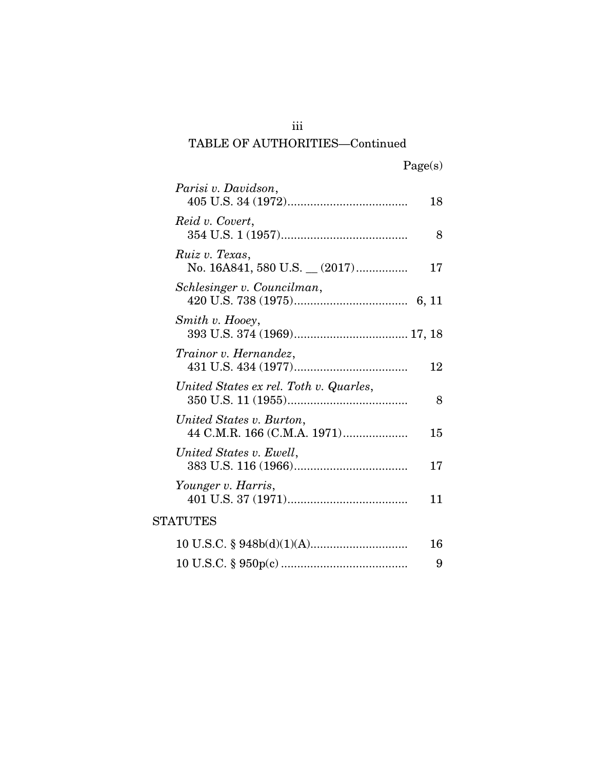| Parisi v. Davidson,                                     | 18 |
|---------------------------------------------------------|----|
| Reid v. Covert,                                         | 8  |
| Ruiz v. Texas,<br>No. 16A841, 580 U.S. _ (2017)         | 17 |
| Schlesinger v. Councilman,                              |    |
| Smith v. Hooey,                                         |    |
| Trainor v. Hernandez,                                   | 12 |
| United States ex rel. Toth v. Quarles,                  | 8  |
| United States v. Burton,<br>44 C.M.R. 166 (C.M.A. 1971) | 15 |
| United States v. Ewell,                                 | 17 |
| Younger v. Harris,                                      | 11 |
| <b>STATUTES</b>                                         |    |
|                                                         | 16 |
|                                                         | 9  |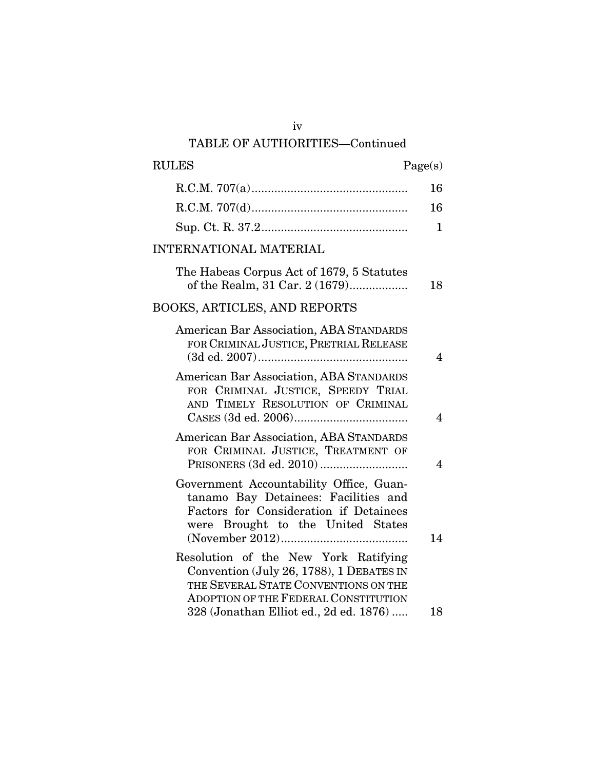| $\mathop{\rm RULES}\nolimits$                                                                                                                                    | Page(s)        |
|------------------------------------------------------------------------------------------------------------------------------------------------------------------|----------------|
|                                                                                                                                                                  | 16             |
|                                                                                                                                                                  | 16             |
|                                                                                                                                                                  | $\mathbf{1}$   |
| <b>INTERNATIONAL MATERIAL</b>                                                                                                                                    |                |
| The Habeas Corpus Act of 1679, 5 Statutes<br>of the Realm, 31 Car. 2 (1679)                                                                                      | 18             |
| <b>BOOKS, ARTICLES, AND REPORTS</b>                                                                                                                              |                |
| American Bar Association, ABA STANDARDS<br>FOR CRIMINAL JUSTICE, PRETRIAL RELEASE                                                                                | $\overline{4}$ |
| American Bar Association, ABA STANDARDS<br>FOR CRIMINAL JUSTICE, SPEEDY TRIAL<br>AND TIMELY RESOLUTION OF CRIMINAL                                               | $\overline{4}$ |
| American Bar Association, ABA STANDARDS<br>FOR CRIMINAL JUSTICE, TREATMENT OF                                                                                    | $\overline{4}$ |
| Government Accountability Office, Guan-<br>tanamo Bay Detainees: Facilities and<br>Factors for Consideration if Detainees<br>were Brought to the United States   | 14             |
| Resolution of the New York Ratifying<br>Convention (July 26, 1788), 1 DEBATES IN<br>THE SEVERAL STATE CONVENTIONS ON THE<br>ADOPTION OF THE FEDERAL CONSTITUTION |                |
| 328 (Jonathan Elliot ed., 2d ed. 1876)                                                                                                                           | 18             |

iv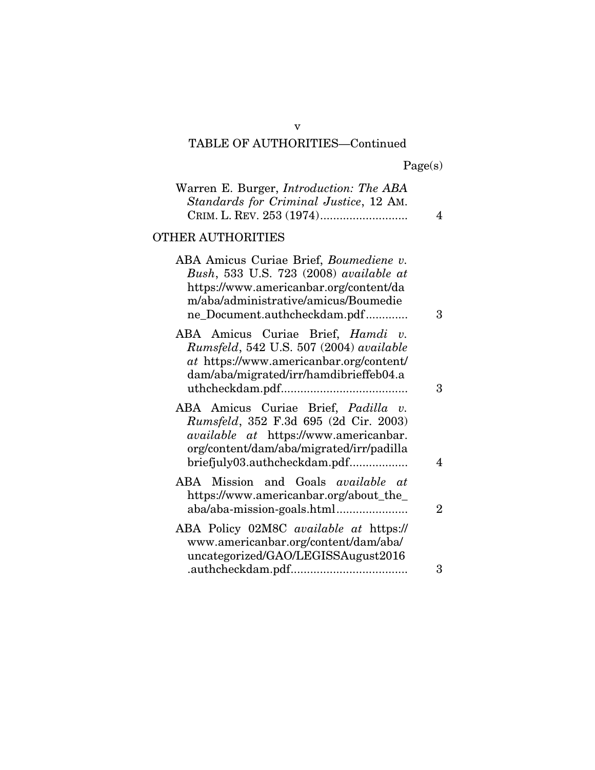|  | Page(s) |
|--|---------|
|  |         |

| Warren E. Burger, <i>Introduction: The ABA</i><br>Standards for Criminal Justice, 12 AM.                                                                                                                 | 4              |
|----------------------------------------------------------------------------------------------------------------------------------------------------------------------------------------------------------|----------------|
| OTHER AUTHORITIES                                                                                                                                                                                        |                |
| ABA Amicus Curiae Brief, Boumediene v.<br>Bush, 533 U.S. 723 (2008) available at<br>https://www.americanbar.org/content/da<br>m/aba/administrative/amicus/Boumedie<br>ne_Document.authcheckdam.pdf       | 3              |
| ABA Amicus Curiae Brief, Hamdi v.<br>Rumsfeld, 542 U.S. 507 (2004) available<br>at https://www.americanbar.org/content/<br>dam/aba/migrated/irr/hamdibrieffeb04.a                                        | $\mathcal{S}$  |
| ABA Amicus Curiae Brief, Padilla v.<br>Rumsfeld, 352 F.3d 695 (2d Cir. 2003)<br><i>available at https://www.americanbar.</i><br>org/content/dam/aba/migrated/irr/padilla<br>briefjuly03.authcheckdam.pdf | 4              |
| ABA Mission and Goals <i>available at</i><br>https://www.americanbar.org/about_the_                                                                                                                      | $\overline{2}$ |
| ABA Policy 02M8C available at https://<br>www.americanbar.org/content/dam/aba/<br>uncategorized/GAO/LEGISSAugust2016                                                                                     |                |
|                                                                                                                                                                                                          | 3              |

v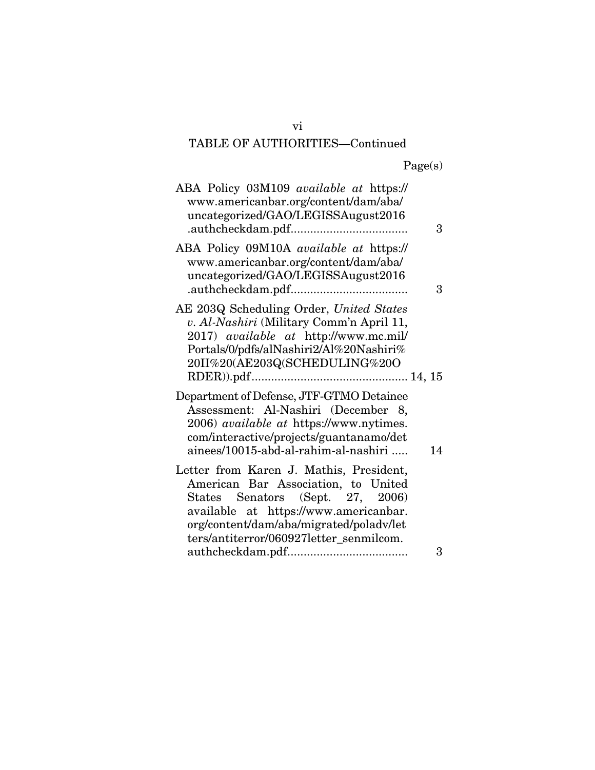| ABA Policy 03M109 available at https://<br>www.americanbar.org/content/dam/aba/<br>uncategorized/GAO/LEGISSAugust2016                                                                                                                             | 3  |
|---------------------------------------------------------------------------------------------------------------------------------------------------------------------------------------------------------------------------------------------------|----|
| ABA Policy 09M10A available at https://<br>www.americanbar.org/content/dam/aba/<br>uncategorized/GAO/LEGISSAugust2016                                                                                                                             | 3  |
| AE 203Q Scheduling Order, United States<br>v. Al-Nashiri (Military Comm'n April 11,<br>2017) available at http://www.mc.mil/<br>Portals/0/pdfs/alNashiri2/Al%20Nashiri%<br>20II%20(AE203Q(SCHEDULING%20O                                          |    |
| Department of Defense, JTF-GTMO Detainee<br>Assessment: Al-Nashiri (December 8,<br>2006) <i>available at https://www.nytimes.</i><br>com/interactive/projects/guantanamo/det<br>ainees/10015-abd-al-rahim-al-nashiri                              | 14 |
| Letter from Karen J. Mathis, President,<br>American Bar Association, to United<br>States Senators (Sept. 27, 2006)<br>available at https://www.americanbar.<br>org/content/dam/aba/migrated/poladv/let<br>ters/antiterror/060927letter_senmilcom. |    |
|                                                                                                                                                                                                                                                   | 3  |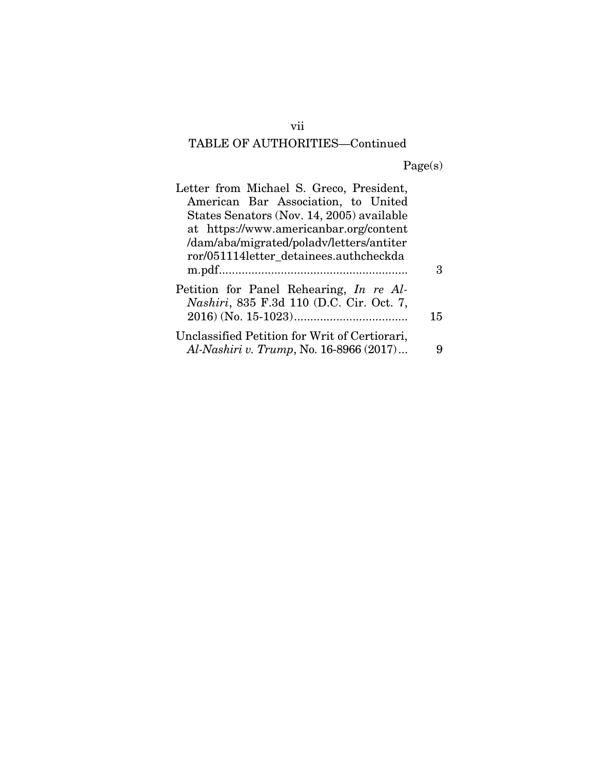Page(s)

| Letter from Michael S. Greco, President,<br>American Bar Association, to United             |    |
|---------------------------------------------------------------------------------------------|----|
| States Senators (Nov. 14, 2005) available<br>at https://www.americanbar.org/content         |    |
| /dam/aba/migrated/poladv/letters/antiter                                                    |    |
| ror/051114letter detainees.authcheckda                                                      |    |
| Petition for Panel Rehearing, In re Al-<br><i>Nashiri</i> , 835 F.3d 110 (D.C. Cir. Oct. 7, | 15 |
| Unclassified Petition for Writ of Certiorari,<br>Al-Nashiri v. Trump, No. 16-8966 (2017)    |    |

vii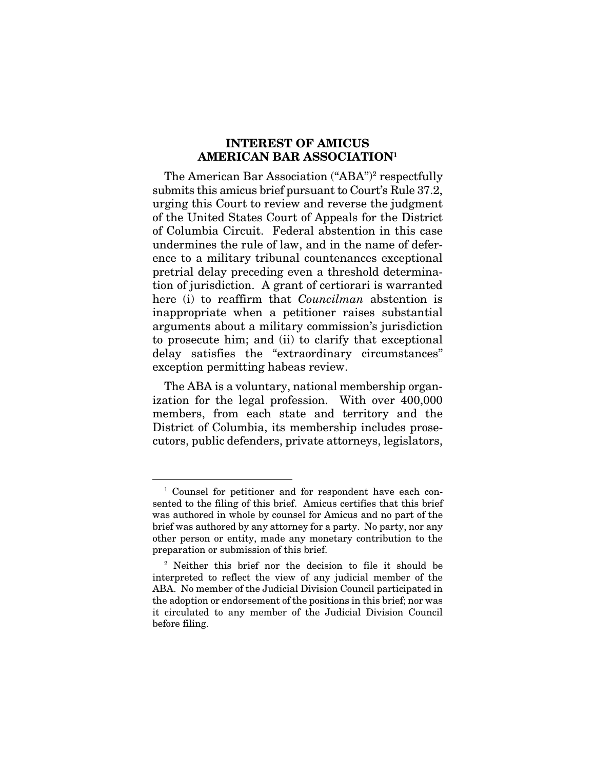### INTEREST OF AMICUS AMERICAN BAR ASSOCIATION1

The American Bar Association ("ABA")<sup>2</sup> respectfully submits this amicus brief pursuant to Court's Rule 37.2, urging this Court to review and reverse the judgment of the United States Court of Appeals for the District of Columbia Circuit. Federal abstention in this case undermines the rule of law, and in the name of deference to a military tribunal countenances exceptional pretrial delay preceding even a threshold determination of jurisdiction. A grant of certiorari is warranted here (i) to reaffirm that *Councilman* abstention is inappropriate when a petitioner raises substantial arguments about a military commission's jurisdiction to prosecute him; and (ii) to clarify that exceptional delay satisfies the "extraordinary circumstances" exception permitting habeas review.

The ABA is a voluntary, national membership organization for the legal profession. With over 400,000 members, from each state and territory and the District of Columbia, its membership includes prosecutors, public defenders, private attorneys, legislators,

 <sup>1</sup> Counsel for petitioner and for respondent have each consented to the filing of this brief. Amicus certifies that this brief was authored in whole by counsel for Amicus and no part of the brief was authored by any attorney for a party. No party, nor any other person or entity, made any monetary contribution to the preparation or submission of this brief.

<sup>2</sup> Neither this brief nor the decision to file it should be interpreted to reflect the view of any judicial member of the ABA. No member of the Judicial Division Council participated in the adoption or endorsement of the positions in this brief; nor was it circulated to any member of the Judicial Division Council before filing.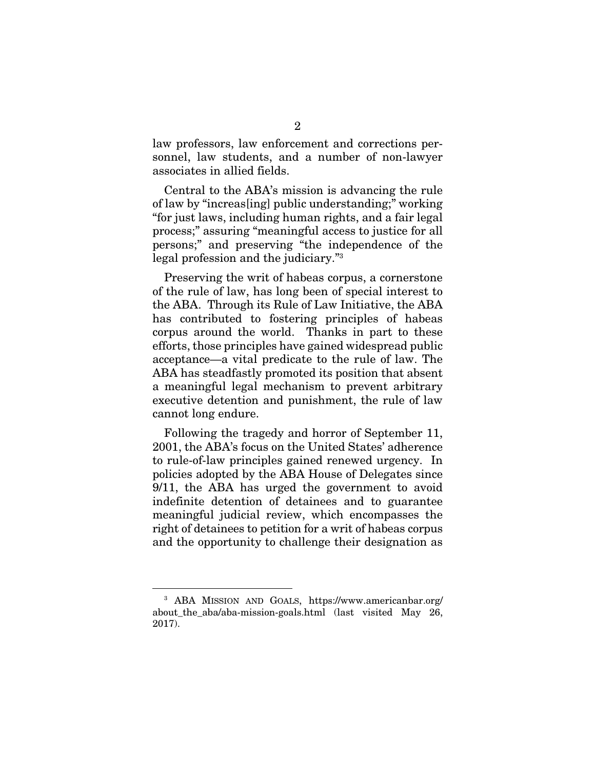law professors, law enforcement and corrections personnel, law students, and a number of non-lawyer associates in allied fields.

Central to the ABA's mission is advancing the rule of law by "increas[ing] public understanding;" working "for just laws, including human rights, and a fair legal process;" assuring "meaningful access to justice for all persons;" and preserving "the independence of the legal profession and the judiciary."<sup>3</sup>

Preserving the writ of habeas corpus, a cornerstone of the rule of law, has long been of special interest to the ABA. Through its Rule of Law Initiative, the ABA has contributed to fostering principles of habeas corpus around the world. Thanks in part to these efforts, those principles have gained widespread public acceptance—a vital predicate to the rule of law. The ABA has steadfastly promoted its position that absent a meaningful legal mechanism to prevent arbitrary executive detention and punishment, the rule of law cannot long endure.

Following the tragedy and horror of September 11, 2001, the ABA's focus on the United States' adherence to rule-of-law principles gained renewed urgency. In policies adopted by the ABA House of Delegates since 9/11, the ABA has urged the government to avoid indefinite detention of detainees and to guarantee meaningful judicial review, which encompasses the right of detainees to petition for a writ of habeas corpus and the opportunity to challenge their designation as

 <sup>3</sup> ABA MISSION AND GOALS, https://www.americanbar.org/ about\_the\_aba/aba-mission-goals.html (last visited May 26, 2017).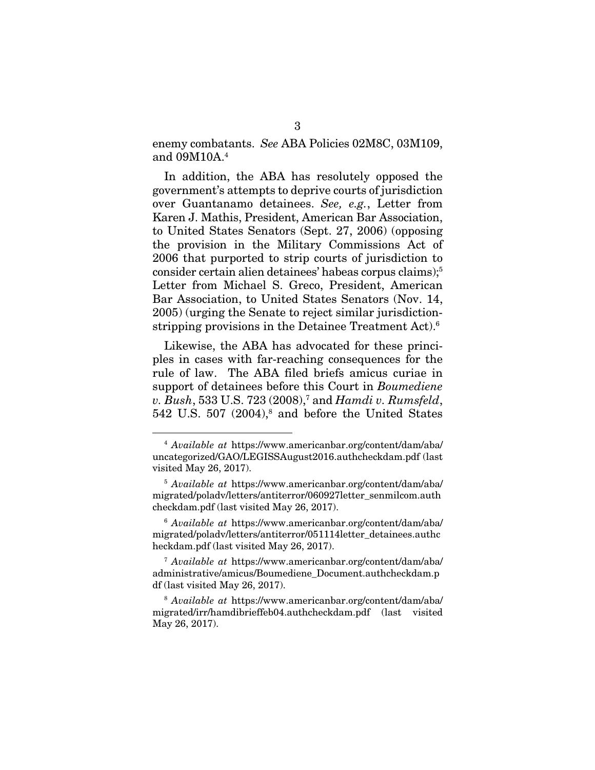enemy combatants. *See* ABA Policies 02M8C, 03M109, and 09M10A.4

In addition, the ABA has resolutely opposed the government's attempts to deprive courts of jurisdiction over Guantanamo detainees. *See, e.g.*, Letter from Karen J. Mathis, President, American Bar Association, to United States Senators (Sept. 27, 2006) (opposing the provision in the Military Commissions Act of 2006 that purported to strip courts of jurisdiction to consider certain alien detainees' habeas corpus claims);5 Letter from Michael S. Greco, President, American Bar Association, to United States Senators (Nov. 14, 2005) (urging the Senate to reject similar jurisdictionstripping provisions in the Detainee Treatment Act).6

Likewise, the ABA has advocated for these principles in cases with far-reaching consequences for the rule of law. The ABA filed briefs amicus curiae in support of detainees before this Court in *Boumediene v. Bush*, 533 U.S. 723 (2008),7 and *Hamdi v. Rumsfeld*,  $542$  U.S.  $507$   $(2004)<sup>8</sup>$  and before the United States

 <sup>4</sup> *Available at* https://www.americanbar.org/content/dam/aba/ uncategorized/GAO/LEGISSAugust2016.authcheckdam.pdf (last visited May 26, 2017).

<sup>5</sup> *Available at* https://www.americanbar.org/content/dam/aba/ migrated/poladv/letters/antiterror/060927letter\_senmilcom.auth checkdam.pdf (last visited May 26, 2017).

<sup>6</sup> *Available at* https://www.americanbar.org/content/dam/aba/ migrated/poladv/letters/antiterror/051114letter\_detainees.authc heckdam.pdf (last visited May 26, 2017).

<sup>7</sup> *Available at* https://www.americanbar.org/content/dam/aba/ administrative/amicus/Boumediene\_Document.authcheckdam.p df (last visited May 26, 2017).

<sup>8</sup> *Available at* https://www.americanbar.org/content/dam/aba/ migrated/irr/hamdibrieffeb04.authcheckdam.pdf (last visited May 26, 2017).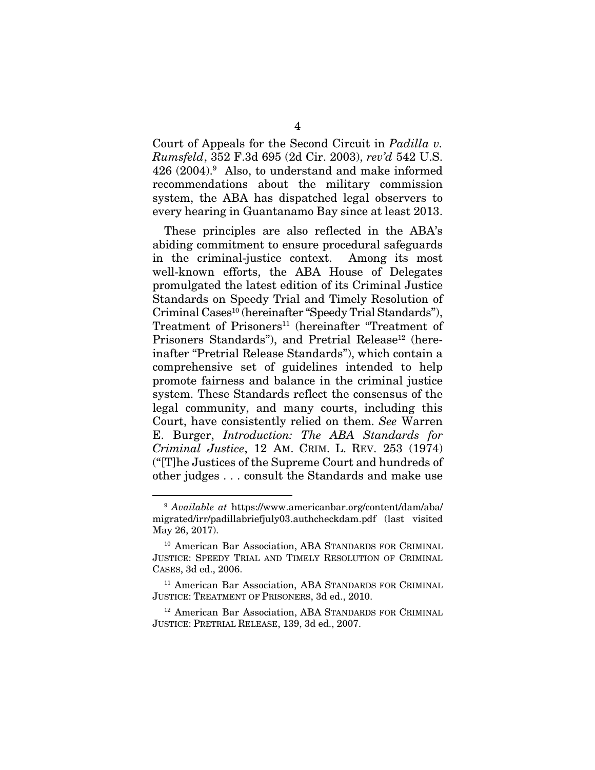Court of Appeals for the Second Circuit in *Padilla v. Rumsfeld*, 352 F.3d 695 (2d Cir. 2003), *rev'd* 542 U.S. 426 (2004).9 Also, to understand and make informed recommendations about the military commission system, the ABA has dispatched legal observers to every hearing in Guantanamo Bay since at least 2013.

These principles are also reflected in the ABA's abiding commitment to ensure procedural safeguards in the criminal-justice context. Among its most well-known efforts, the ABA House of Delegates promulgated the latest edition of its Criminal Justice Standards on Speedy Trial and Timely Resolution of Criminal Cases<sup>10</sup> (hereinafter "Speedy Trial Standards"), Treatment of Prisoners<sup>11</sup> (hereinafter "Treatment of Prisoners Standards"), and Pretrial Release<sup>12</sup> (hereinafter "Pretrial Release Standards"), which contain a comprehensive set of guidelines intended to help promote fairness and balance in the criminal justice system. These Standards reflect the consensus of the legal community, and many courts, including this Court, have consistently relied on them. *See* Warren E. Burger, *Introduction: The ABA Standards for Criminal Justice*, 12 AM. CRIM. L. REV. 253 (1974) ("[T]he Justices of the Supreme Court and hundreds of other judges . . . consult the Standards and make use

 <sup>9</sup> *Available at* https://www.americanbar.org/content/dam/aba/ migrated/irr/padillabriefjuly03.authcheckdam.pdf (last visited May 26, 2017).

<sup>10</sup> American Bar Association, ABA STANDARDS FOR CRIMINAL JUSTICE: SPEEDY TRIAL AND TIMELY RESOLUTION OF CRIMINAL CASES, 3d ed., 2006.

<sup>&</sup>lt;sup>11</sup> American Bar Association, ABA STANDARDS FOR CRIMINAL JUSTICE: TREATMENT OF PRISONERS, 3d ed., 2010.

<sup>12</sup> American Bar Association, ABA STANDARDS FOR CRIMINAL JUSTICE: PRETRIAL RELEASE, 139, 3d ed., 2007.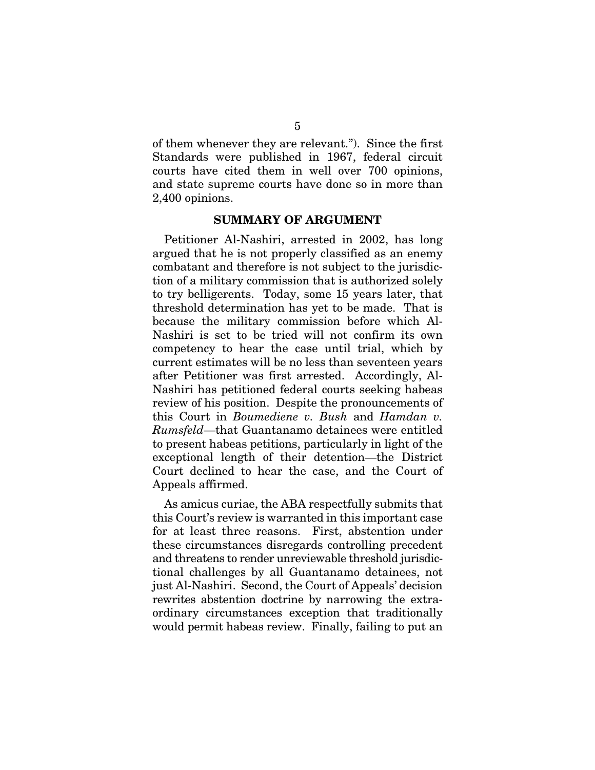of them whenever they are relevant."). Since the first Standards were published in 1967, federal circuit courts have cited them in well over 700 opinions, and state supreme courts have done so in more than 2,400 opinions.

#### SUMMARY OF ARGUMENT

Petitioner Al-Nashiri, arrested in 2002, has long argued that he is not properly classified as an enemy combatant and therefore is not subject to the jurisdiction of a military commission that is authorized solely to try belligerents. Today, some 15 years later, that threshold determination has yet to be made. That is because the military commission before which Al-Nashiri is set to be tried will not confirm its own competency to hear the case until trial, which by current estimates will be no less than seventeen years after Petitioner was first arrested. Accordingly, Al-Nashiri has petitioned federal courts seeking habeas review of his position. Despite the pronouncements of this Court in *Boumediene v. Bush* and *Hamdan v. Rumsfeld*—that Guantanamo detainees were entitled to present habeas petitions, particularly in light of the exceptional length of their detention—the District Court declined to hear the case, and the Court of Appeals affirmed.

As amicus curiae, the ABA respectfully submits that this Court's review is warranted in this important case for at least three reasons. First, abstention under these circumstances disregards controlling precedent and threatens to render unreviewable threshold jurisdictional challenges by all Guantanamo detainees, not just Al-Nashiri. Second, the Court of Appeals' decision rewrites abstention doctrine by narrowing the extraordinary circumstances exception that traditionally would permit habeas review. Finally, failing to put an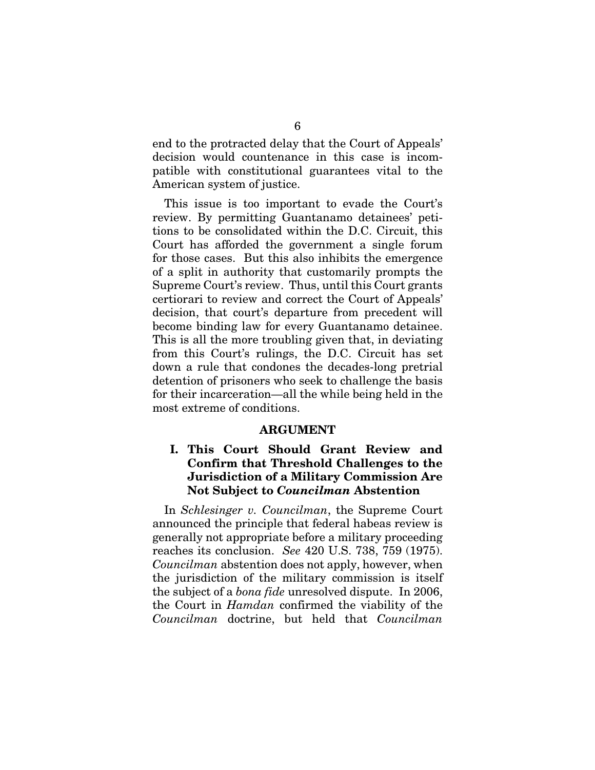end to the protracted delay that the Court of Appeals' decision would countenance in this case is incompatible with constitutional guarantees vital to the American system of justice.

This issue is too important to evade the Court's review. By permitting Guantanamo detainees' petitions to be consolidated within the D.C. Circuit, this Court has afforded the government a single forum for those cases. But this also inhibits the emergence of a split in authority that customarily prompts the Supreme Court's review. Thus, until this Court grants certiorari to review and correct the Court of Appeals' decision, that court's departure from precedent will become binding law for every Guantanamo detainee. This is all the more troubling given that, in deviating from this Court's rulings, the D.C. Circuit has set down a rule that condones the decades-long pretrial detention of prisoners who seek to challenge the basis for their incarceration—all the while being held in the most extreme of conditions.

#### ARGUMENT

### I. This Court Should Grant Review and Confirm that Threshold Challenges to the Jurisdiction of a Military Commission Are Not Subject to *Councilman* Abstention

In *Schlesinger v. Councilman*, the Supreme Court announced the principle that federal habeas review is generally not appropriate before a military proceeding reaches its conclusion. *See* 420 U.S. 738, 759 (1975). *Councilman* abstention does not apply, however, when the jurisdiction of the military commission is itself the subject of a *bona fide* unresolved dispute. In 2006, the Court in *Hamdan* confirmed the viability of the *Councilman* doctrine, but held that *Councilman*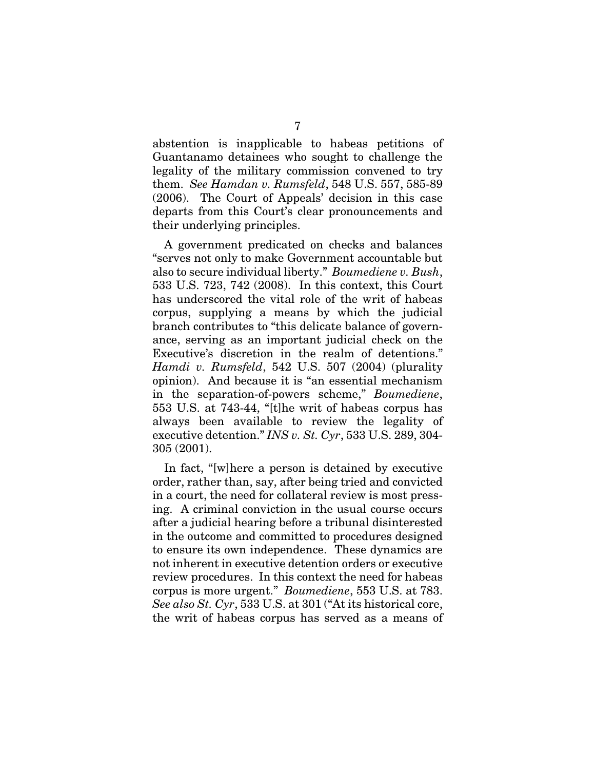abstention is inapplicable to habeas petitions of Guantanamo detainees who sought to challenge the legality of the military commission convened to try them. *See Hamdan v. Rumsfeld*, 548 U.S. 557, 585-89 (2006). The Court of Appeals' decision in this case departs from this Court's clear pronouncements and their underlying principles.

A government predicated on checks and balances "serves not only to make Government accountable but also to secure individual liberty." *Boumediene v. Bush*, 533 U.S. 723, 742 (2008). In this context, this Court has underscored the vital role of the writ of habeas corpus, supplying a means by which the judicial branch contributes to "this delicate balance of governance, serving as an important judicial check on the Executive's discretion in the realm of detentions." *Hamdi v. Rumsfeld*, 542 U.S. 507 (2004) (plurality opinion). And because it is "an essential mechanism in the separation-of-powers scheme," *Boumediene*, 553 U.S. at 743-44, "[t]he writ of habeas corpus has always been available to review the legality of executive detention." *INS v. St. Cyr*, 533 U.S. 289, 304- 305 (2001).

In fact, "[w]here a person is detained by executive order, rather than, say, after being tried and convicted in a court, the need for collateral review is most pressing. A criminal conviction in the usual course occurs after a judicial hearing before a tribunal disinterested in the outcome and committed to procedures designed to ensure its own independence. These dynamics are not inherent in executive detention orders or executive review procedures. In this context the need for habeas corpus is more urgent." *Boumediene*, 553 U.S. at 783. *See also St. Cyr*, 533 U.S. at 301 ("At its historical core, the writ of habeas corpus has served as a means of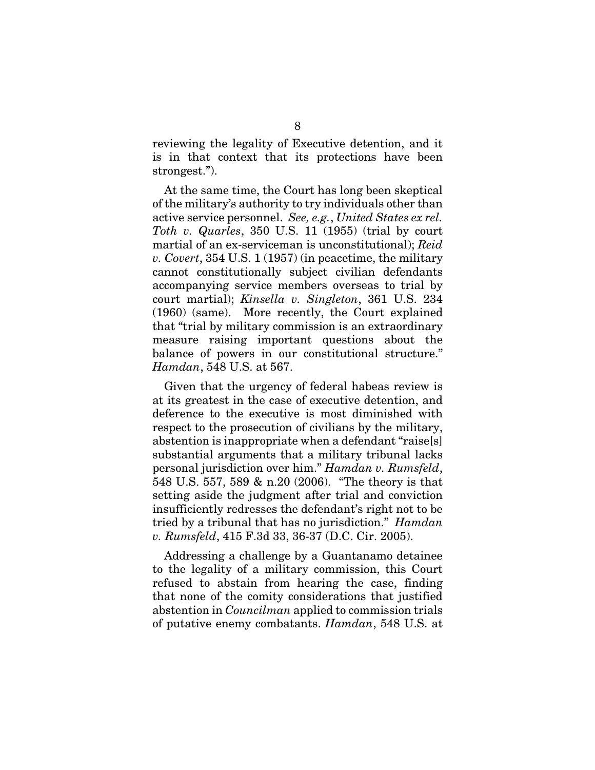reviewing the legality of Executive detention, and it is in that context that its protections have been strongest.").

At the same time, the Court has long been skeptical of the military's authority to try individuals other than active service personnel. *See, e.g.*, *United States ex rel. Toth v. Quarles*, 350 U.S. 11 (1955) (trial by court martial of an ex-serviceman is unconstitutional); *Reid v. Covert*, 354 U.S. 1 (1957) (in peacetime, the military cannot constitutionally subject civilian defendants accompanying service members overseas to trial by court martial); *Kinsella v. Singleton*, 361 U.S. 234 (1960) (same). More recently, the Court explained that "trial by military commission is an extraordinary measure raising important questions about the balance of powers in our constitutional structure." *Hamdan*, 548 U.S. at 567.

Given that the urgency of federal habeas review is at its greatest in the case of executive detention, and deference to the executive is most diminished with respect to the prosecution of civilians by the military, abstention is inappropriate when a defendant "raise[s] substantial arguments that a military tribunal lacks personal jurisdiction over him." *Hamdan v. Rumsfeld*, 548 U.S. 557, 589 & n.20 (2006). "The theory is that setting aside the judgment after trial and conviction insufficiently redresses the defendant's right not to be tried by a tribunal that has no jurisdiction." *Hamdan v. Rumsfeld*, 415 F.3d 33, 36-37 (D.C. Cir. 2005).

Addressing a challenge by a Guantanamo detainee to the legality of a military commission, this Court refused to abstain from hearing the case, finding that none of the comity considerations that justified abstention in *Councilman* applied to commission trials of putative enemy combatants. *Hamdan*, 548 U.S. at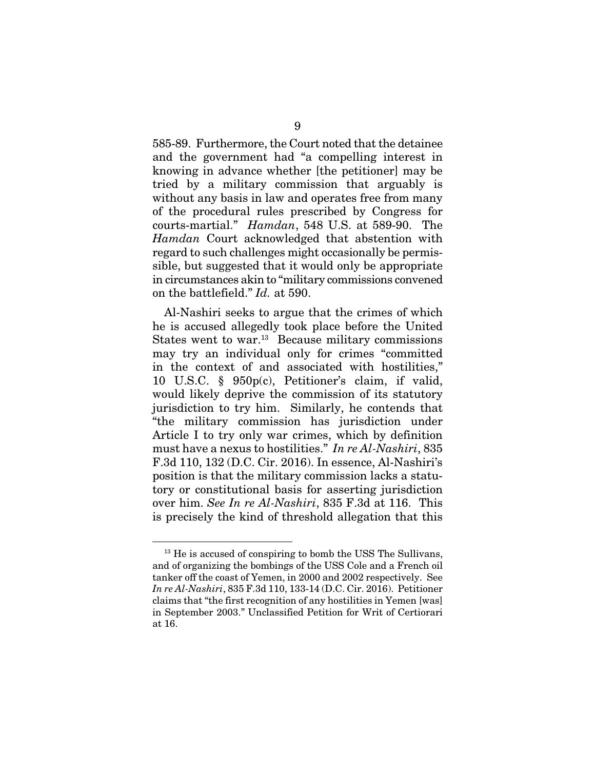585-89. Furthermore, the Court noted that the detainee and the government had "a compelling interest in knowing in advance whether [the petitioner] may be tried by a military commission that arguably is without any basis in law and operates free from many of the procedural rules prescribed by Congress for courts-martial." *Hamdan*, 548 U.S. at 589-90. The *Hamdan* Court acknowledged that abstention with regard to such challenges might occasionally be permissible, but suggested that it would only be appropriate in circumstances akin to "military commissions convened on the battlefield." *Id.* at 590.

Al-Nashiri seeks to argue that the crimes of which he is accused allegedly took place before the United States went to war.<sup>13</sup> Because military commissions may try an individual only for crimes "committed in the context of and associated with hostilities," 10 U.S.C. § 950p(c), Petitioner's claim, if valid, would likely deprive the commission of its statutory jurisdiction to try him. Similarly, he contends that "the military commission has jurisdiction under Article I to try only war crimes, which by definition must have a nexus to hostilities." *In re Al-Nashiri*, 835 F.3d 110, 132 (D.C. Cir. 2016). In essence, Al-Nashiri's position is that the military commission lacks a statutory or constitutional basis for asserting jurisdiction over him. *See In re Al-Nashiri*, 835 F.3d at 116. This is precisely the kind of threshold allegation that this

<sup>&</sup>lt;sup>13</sup> He is accused of conspiring to bomb the USS The Sullivans, and of organizing the bombings of the USS Cole and a French oil tanker off the coast of Yemen, in 2000 and 2002 respectively. See *In re Al-Nashiri*, 835 F.3d 110, 133-14 (D.C. Cir. 2016). Petitioner claims that "the first recognition of any hostilities in Yemen [was] in September 2003." Unclassified Petition for Writ of Certiorari at 16.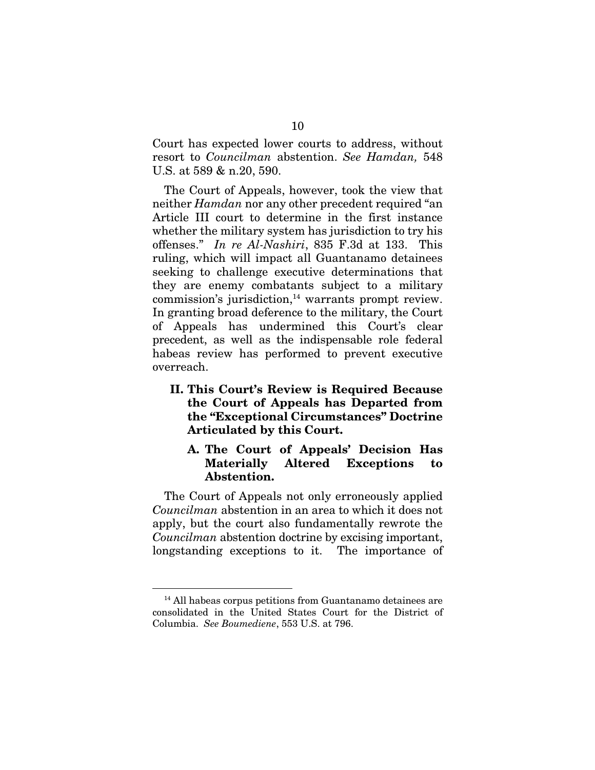Court has expected lower courts to address, without resort to *Councilman* abstention. *See Hamdan,* 548 U.S. at 589 & n.20, 590.

The Court of Appeals, however, took the view that neither *Hamdan* nor any other precedent required "an Article III court to determine in the first instance whether the military system has jurisdiction to try his offenses." *In re Al-Nashiri*, 835 F.3d at 133. This ruling, which will impact all Guantanamo detainees seeking to challenge executive determinations that they are enemy combatants subject to a military  $commission's$  jurisdiction, $<sup>14</sup>$  warrants prompt review.</sup> In granting broad deference to the military, the Court of Appeals has undermined this Court's clear precedent, as well as the indispensable role federal habeas review has performed to prevent executive overreach.

II. This Court's Review is Required Because the Court of Appeals has Departed from the "Exceptional Circumstances" Doctrine Articulated by this Court.

### A. The Court of Appeals' Decision Has Materially Altered Exceptions to Abstention.

The Court of Appeals not only erroneously applied *Councilman* abstention in an area to which it does not apply, but the court also fundamentally rewrote the *Councilman* abstention doctrine by excising important, longstanding exceptions to it. The importance of

<sup>&</sup>lt;sup>14</sup> All habeas corpus petitions from Guantanamo detainees are consolidated in the United States Court for the District of Columbia. *See Boumediene*, 553 U.S. at 796.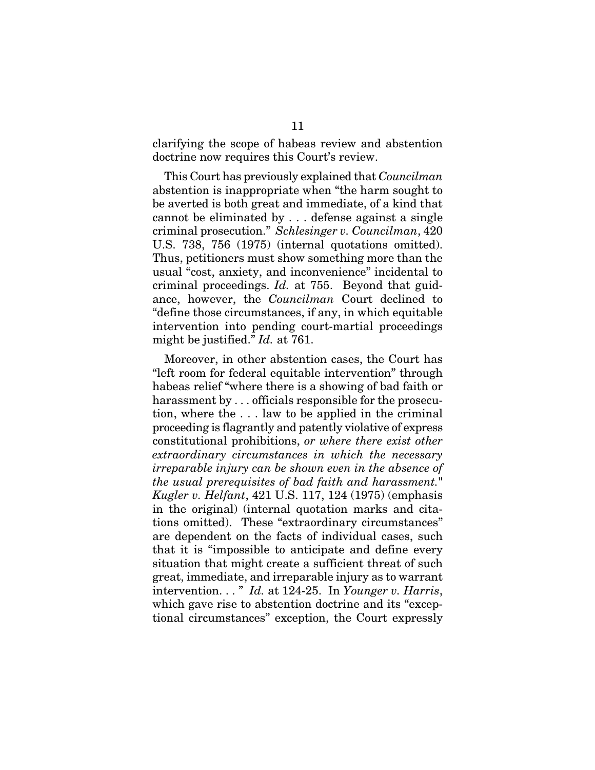clarifying the scope of habeas review and abstention doctrine now requires this Court's review.

This Court has previously explained that *Councilman*  abstention is inappropriate when "the harm sought to be averted is both great and immediate, of a kind that cannot be eliminated by . . . defense against a single criminal prosecution." *Schlesinger v. Councilman*, 420 U.S. 738, 756 (1975) (internal quotations omitted). Thus, petitioners must show something more than the usual "cost, anxiety, and inconvenience" incidental to criminal proceedings. *Id.* at 755. Beyond that guidance, however, the *Councilman* Court declined to "define those circumstances, if any, in which equitable intervention into pending court-martial proceedings might be justified." *Id.* at 761.

Moreover, in other abstention cases, the Court has "left room for federal equitable intervention" through habeas relief "where there is a showing of bad faith or harassment by . . . officials responsible for the prosecution, where the . . . law to be applied in the criminal proceeding is flagrantly and patently violative of express constitutional prohibitions, *or where there exist other extraordinary circumstances in which the necessary irreparable injury can be shown even in the absence of the usual prerequisites of bad faith and harassment.*" *Kugler v. Helfant*, 421 U.S. 117, 124 (1975) (emphasis in the original) (internal quotation marks and citations omitted). These "extraordinary circumstances" are dependent on the facts of individual cases, such that it is "impossible to anticipate and define every situation that might create a sufficient threat of such great, immediate, and irreparable injury as to warrant intervention. . . " *Id.* at 124-25. In *Younger v. Harris*, which gave rise to abstention doctrine and its "exceptional circumstances" exception, the Court expressly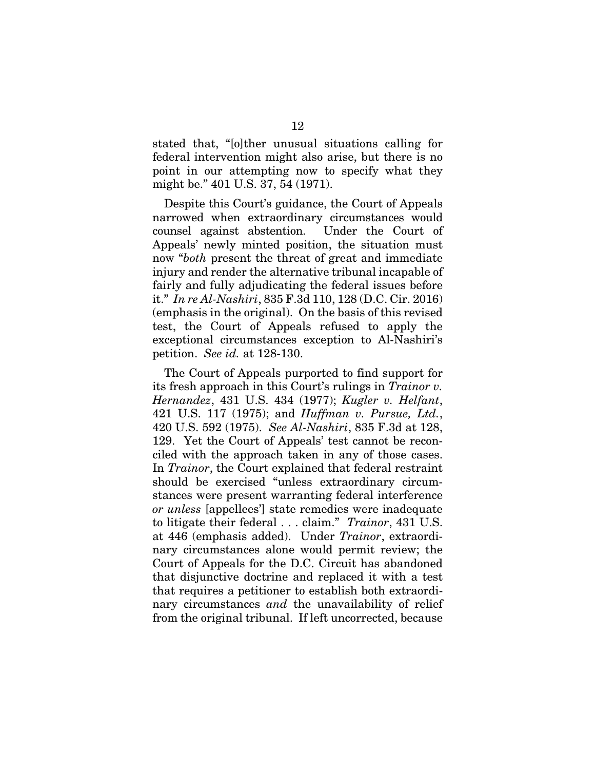stated that, "[o]ther unusual situations calling for federal intervention might also arise, but there is no point in our attempting now to specify what they might be." 401 U.S. 37, 54 (1971).

Despite this Court's guidance, the Court of Appeals narrowed when extraordinary circumstances would counsel against abstention. Under the Court of Appeals' newly minted position, the situation must now "*both* present the threat of great and immediate injury and render the alternative tribunal incapable of fairly and fully adjudicating the federal issues before it." *In re Al-Nashiri*, 835 F.3d 110, 128 (D.C. Cir. 2016) (emphasis in the original). On the basis of this revised test, the Court of Appeals refused to apply the exceptional circumstances exception to Al-Nashiri's petition. *See id.* at 128-130.

The Court of Appeals purported to find support for its fresh approach in this Court's rulings in *Trainor v. Hernandez*, 431 U.S. 434 (1977); *Kugler v. Helfant*, 421 U.S. 117 (1975); and *Huffman v. Pursue, Ltd.*, 420 U.S. 592 (1975). *See Al-Nashiri*, 835 F.3d at 128, 129. Yet the Court of Appeals' test cannot be reconciled with the approach taken in any of those cases. In *Trainor*, the Court explained that federal restraint should be exercised "unless extraordinary circumstances were present warranting federal interference *or unless* [appellees'] state remedies were inadequate to litigate their federal . . . claim." *Trainor*, 431 U.S. at 446 (emphasis added). Under *Trainor*, extraordinary circumstances alone would permit review; the Court of Appeals for the D.C. Circuit has abandoned that disjunctive doctrine and replaced it with a test that requires a petitioner to establish both extraordinary circumstances *and* the unavailability of relief from the original tribunal. If left uncorrected, because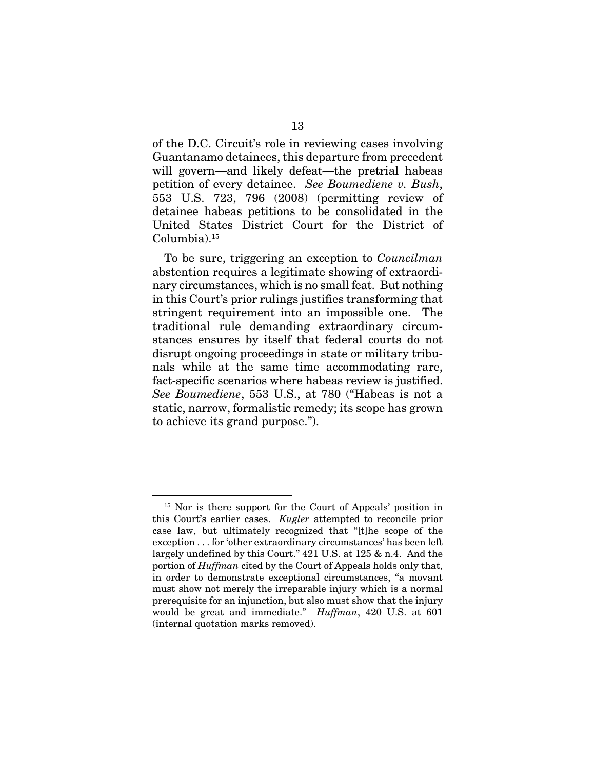of the D.C. Circuit's role in reviewing cases involving Guantanamo detainees, this departure from precedent will govern—and likely defeat—the pretrial habeas petition of every detainee. *See Boumediene v. Bush*, 553 U.S. 723, 796 (2008) (permitting review of detainee habeas petitions to be consolidated in the United States District Court for the District of Columbia).15

To be sure, triggering an exception to *Councilman* abstention requires a legitimate showing of extraordinary circumstances, which is no small feat. But nothing in this Court's prior rulings justifies transforming that stringent requirement into an impossible one. The traditional rule demanding extraordinary circumstances ensures by itself that federal courts do not disrupt ongoing proceedings in state or military tribunals while at the same time accommodating rare, fact-specific scenarios where habeas review is justified. *See Boumediene*, 553 U.S., at 780 ("Habeas is not a static, narrow, formalistic remedy; its scope has grown to achieve its grand purpose.").

<sup>&</sup>lt;sup>15</sup> Nor is there support for the Court of Appeals' position in this Court's earlier cases. *Kugler* attempted to reconcile prior case law, but ultimately recognized that "[t]he scope of the exception . . . for 'other extraordinary circumstances' has been left largely undefined by this Court." 421 U.S. at 125 & n.4. And the portion of *Huffman* cited by the Court of Appeals holds only that, in order to demonstrate exceptional circumstances, "a movant must show not merely the irreparable injury which is a normal prerequisite for an injunction, but also must show that the injury would be great and immediate." *Huffman*, 420 U.S. at 601 (internal quotation marks removed).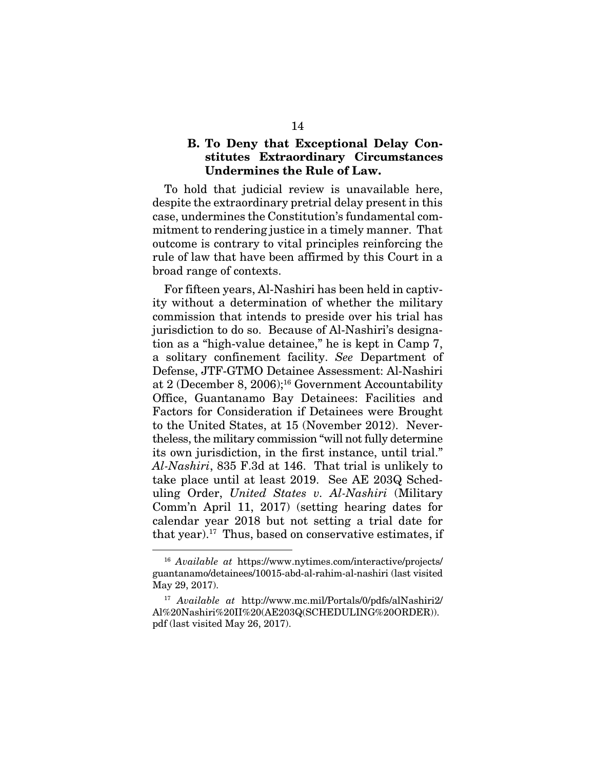#### B. To Deny that Exceptional Delay Constitutes Extraordinary Circumstances Undermines the Rule of Law.

To hold that judicial review is unavailable here, despite the extraordinary pretrial delay present in this case, undermines the Constitution's fundamental commitment to rendering justice in a timely manner. That outcome is contrary to vital principles reinforcing the rule of law that have been affirmed by this Court in a broad range of contexts.

For fifteen years, Al-Nashiri has been held in captivity without a determination of whether the military commission that intends to preside over his trial has jurisdiction to do so. Because of Al-Nashiri's designation as a "high-value detainee," he is kept in Camp 7, a solitary confinement facility. *See* Department of Defense, JTF-GTMO Detainee Assessment: Al-Nashiri at 2 (December 8, 2006);16 Government Accountability Office, Guantanamo Bay Detainees: Facilities and Factors for Consideration if Detainees were Brought to the United States, at 15 (November 2012). Nevertheless, the military commission "will not fully determine its own jurisdiction, in the first instance, until trial." *Al-Nashiri*, 835 F.3d at 146. That trial is unlikely to take place until at least 2019. See AE 203Q Scheduling Order, *United States v. Al-Nashiri* (Military Comm'n April 11, 2017) (setting hearing dates for calendar year 2018 but not setting a trial date for that year).17 Thus, based on conservative estimates, if

 <sup>16</sup> *Available at* https://www.nytimes.com/interactive/projects/ guantanamo/detainees/10015-abd-al-rahim-al-nashiri (last visited May 29, 2017).

<sup>17</sup> *Available at* http://www.mc.mil/Portals/0/pdfs/alNashiri2/ Al%20Nashiri%20II%20(AE203Q(SCHEDULING%20ORDER)). pdf (last visited May 26, 2017).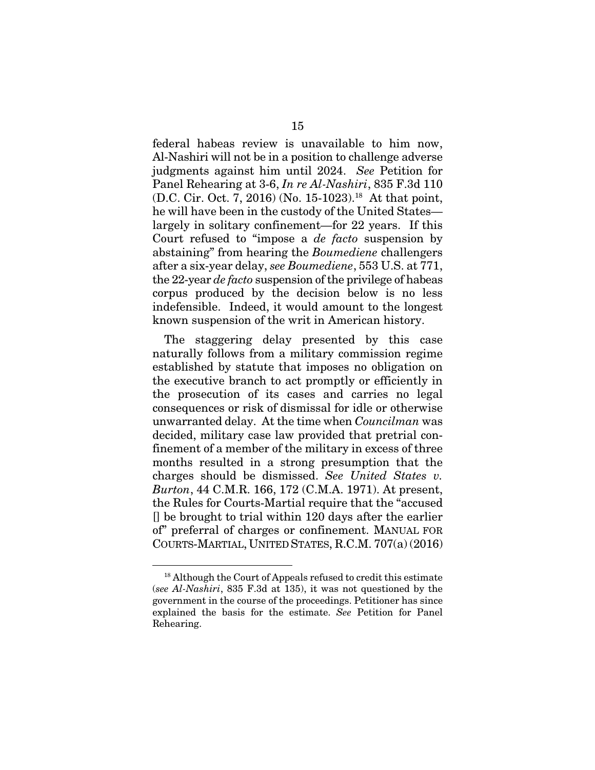federal habeas review is unavailable to him now, Al-Nashiri will not be in a position to challenge adverse judgments against him until 2024. *See* Petition for Panel Rehearing at 3-6, *In re Al-Nashiri*, 835 F.3d 110 (D.C. Cir. Oct. 7, 2016) (No. 15-1023).18 At that point, he will have been in the custody of the United States largely in solitary confinement—for 22 years. If this Court refused to "impose a *de facto* suspension by abstaining" from hearing the *Boumediene* challengers after a six-year delay, *see Boumediene*, 553 U.S. at 771, the 22-year *de facto* suspension of the privilege of habeas corpus produced by the decision below is no less indefensible. Indeed, it would amount to the longest known suspension of the writ in American history.

The staggering delay presented by this case naturally follows from a military commission regime established by statute that imposes no obligation on the executive branch to act promptly or efficiently in the prosecution of its cases and carries no legal consequences or risk of dismissal for idle or otherwise unwarranted delay. At the time when *Councilman* was decided, military case law provided that pretrial confinement of a member of the military in excess of three months resulted in a strong presumption that the charges should be dismissed. *See United States v. Burton*, 44 C.M.R. 166, 172 (C.M.A. 1971). At present, the Rules for Courts-Martial require that the "accused [] be brought to trial within 120 days after the earlier of" preferral of charges or confinement. MANUAL FOR COURTS-MARTIAL, UNITED STATES, R.C.M. 707(a) (2016)

<sup>&</sup>lt;sup>18</sup> Although the Court of Appeals refused to credit this estimate (*see Al-Nashiri*, 835 F.3d at 135), it was not questioned by the government in the course of the proceedings. Petitioner has since explained the basis for the estimate. *See* Petition for Panel Rehearing.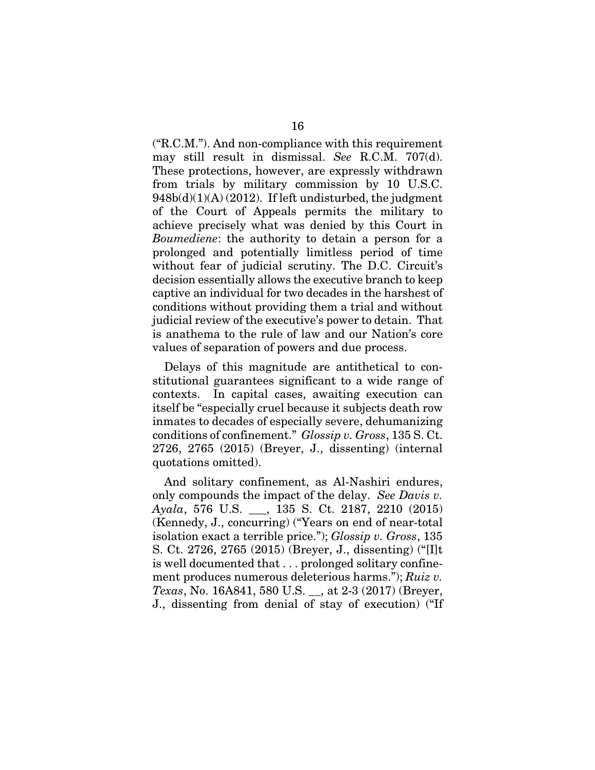("R.C.M."). And non-compliance with this requirement may still result in dismissal. *See* R.C.M. 707(d). These protections, however, are expressly withdrawn from trials by military commission by 10 U.S.C.  $948b(d)(1)(A)(2012)$ . If left undisturbed, the judgment of the Court of Appeals permits the military to achieve precisely what was denied by this Court in *Boumediene*: the authority to detain a person for a prolonged and potentially limitless period of time without fear of judicial scrutiny. The D.C. Circuit's decision essentially allows the executive branch to keep captive an individual for two decades in the harshest of conditions without providing them a trial and without judicial review of the executive's power to detain. That is anathema to the rule of law and our Nation's core values of separation of powers and due process.

Delays of this magnitude are antithetical to constitutional guarantees significant to a wide range of contexts. In capital cases, awaiting execution can itself be "especially cruel because it subjects death row inmates to decades of especially severe, dehumanizing conditions of confinement." *Glossip v. Gross*, 135 S. Ct. 2726, 2765 (2015) (Breyer, J., dissenting) (internal quotations omitted).

And solitary confinement, as Al-Nashiri endures, only compounds the impact of the delay. *See Davis v. Ayala*, 576 U.S. \_\_\_, 135 S. Ct. 2187, 2210 (2015) (Kennedy, J., concurring) ("Years on end of near-total isolation exact a terrible price."); *Glossip v. Gross*, 135 S. Ct. 2726, 2765 (2015) (Breyer, J., dissenting) ("[I]t is well documented that . . . prolonged solitary confinement produces numerous deleterious harms."); *Ruiz v. Texas*, No. 16A841, 580 U.S. \_\_, at 2-3 (2017) (Breyer, J., dissenting from denial of stay of execution) ("If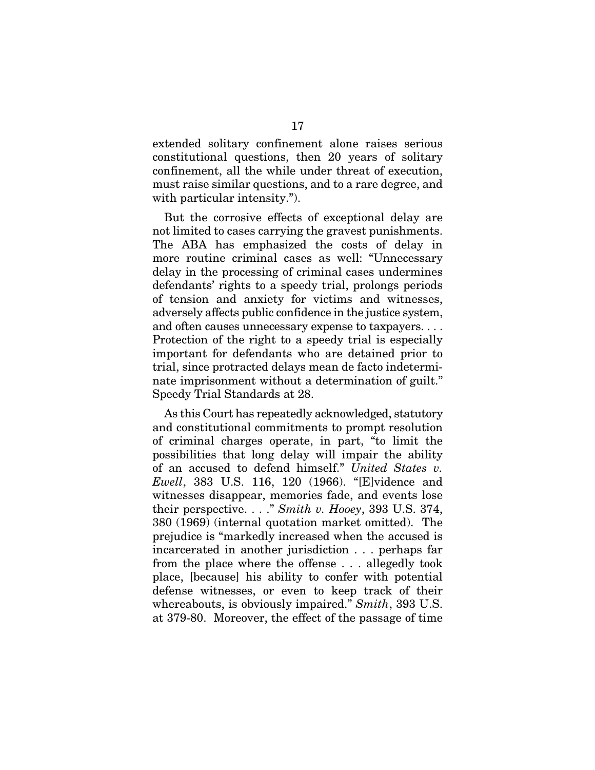extended solitary confinement alone raises serious constitutional questions, then 20 years of solitary confinement, all the while under threat of execution, must raise similar questions, and to a rare degree, and with particular intensity.").

But the corrosive effects of exceptional delay are not limited to cases carrying the gravest punishments. The ABA has emphasized the costs of delay in more routine criminal cases as well: "Unnecessary delay in the processing of criminal cases undermines defendants' rights to a speedy trial, prolongs periods of tension and anxiety for victims and witnesses, adversely affects public confidence in the justice system, and often causes unnecessary expense to taxpayers. . . . Protection of the right to a speedy trial is especially important for defendants who are detained prior to trial, since protracted delays mean de facto indeterminate imprisonment without a determination of guilt." Speedy Trial Standards at 28.

As this Court has repeatedly acknowledged, statutory and constitutional commitments to prompt resolution of criminal charges operate, in part, "to limit the possibilities that long delay will impair the ability of an accused to defend himself." *United States v. Ewell*, 383 U.S. 116, 120 (1966). "[E]vidence and witnesses disappear, memories fade, and events lose their perspective. . . ." *Smith v. Hooey*, 393 U.S. 374, 380 (1969) (internal quotation market omitted). The prejudice is "markedly increased when the accused is incarcerated in another jurisdiction . . . perhaps far from the place where the offense . . . allegedly took place, [because] his ability to confer with potential defense witnesses, or even to keep track of their whereabouts, is obviously impaired." *Smith*, 393 U.S. at 379-80. Moreover, the effect of the passage of time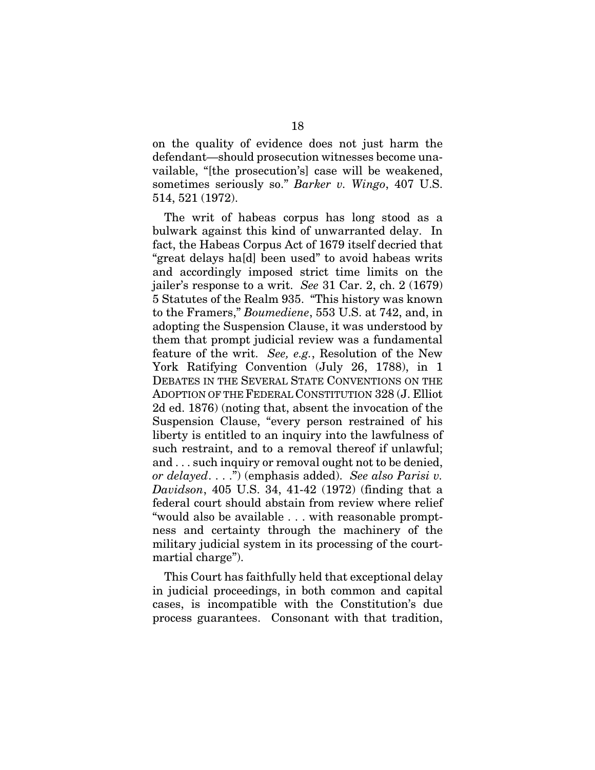on the quality of evidence does not just harm the defendant—should prosecution witnesses become unavailable, "[the prosecution's] case will be weakened, sometimes seriously so." *Barker v. Wingo*, 407 U.S. 514, 521 (1972).

The writ of habeas corpus has long stood as a bulwark against this kind of unwarranted delay. In fact, the Habeas Corpus Act of 1679 itself decried that "great delays ha[d] been used" to avoid habeas writs and accordingly imposed strict time limits on the jailer's response to a writ. *See* 31 Car. 2, ch. 2 (1679) 5 Statutes of the Realm 935. "This history was known to the Framers," *Boumediene*, 553 U.S. at 742, and, in adopting the Suspension Clause, it was understood by them that prompt judicial review was a fundamental feature of the writ. *See, e.g.*, Resolution of the New York Ratifying Convention (July 26, 1788), in 1 DEBATES IN THE SEVERAL STATE CONVENTIONS ON THE ADOPTION OF THE FEDERAL CONSTITUTION 328 (J. Elliot 2d ed. 1876) (noting that, absent the invocation of the Suspension Clause, "every person restrained of his liberty is entitled to an inquiry into the lawfulness of such restraint, and to a removal thereof if unlawful; and . . . such inquiry or removal ought not to be denied, *or delayed*. . . .") (emphasis added). *See also Parisi v. Davidson*, 405 U.S. 34, 41-42 (1972) (finding that a federal court should abstain from review where relief "would also be available . . . with reasonable promptness and certainty through the machinery of the military judicial system in its processing of the courtmartial charge").

This Court has faithfully held that exceptional delay in judicial proceedings, in both common and capital cases, is incompatible with the Constitution's due process guarantees. Consonant with that tradition,